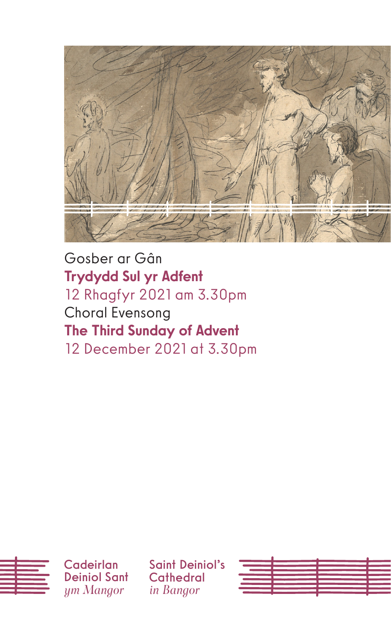

Gosber ar Gân Trydydd Sul yr Adfent 12 Rhagfyr 2021 am 3.30pm Choral Evensong The Third Sunday of Advent 12 December 2021 at 3.30pm



Saint Deiniol's **Cathedral** *in Bangor*

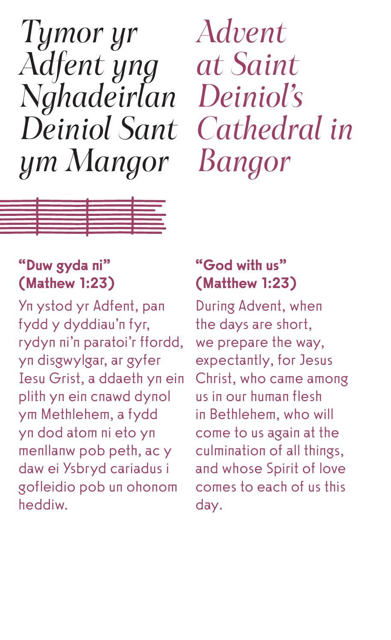*Tymor yr Adfent yng Nghadeirlan Deiniol Sant ym Mangor* 

*Advent at Saint Deiniol's Cathedral in Bangor*



# "Duw gyda ni" (Mathew 1:23)

Yn ystod yr Adfent, pan fydd y dyddiau'n fyr, rydyn ni'n paratoi'r ffordd, yn disgwylgar, ar gyfer Iesu Grist, a ddaeth yn ein plith yn ein cnawd dynol ym Methlehem, a fydd yn dod atom ni eto yn menllanw pob peth, ac y daw ei Ysbryd cariadus i gofleidio pob un ohonom heddiw.

# "God with us" (Matthew 1:23)

During Advent, when the days are short, we prepare the way, expectantly, for Jesus Christ, who came among us in our human flesh in Bethlehem, who will come to us again at the culmination of all things, and whose Spirit of love comes to each of us this day.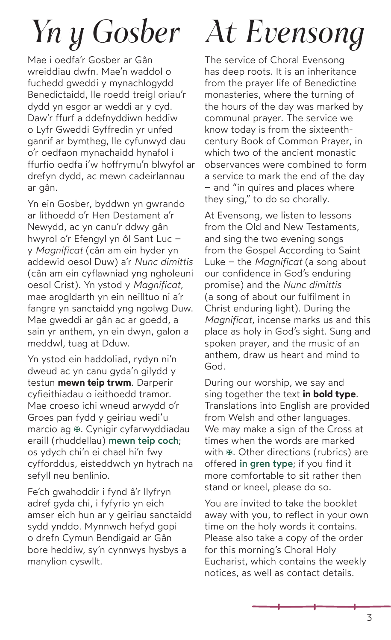# *Yn y Gosber*

Mae i oedfa'r Gosber ar Gân wreiddiau dwfn. Mae'n waddol o fuchedd gweddi y mynachlogydd Benedictaidd, lle roedd treigl oriau'r dydd yn esgor ar weddi ar y cyd. Daw'r ffurf a ddefnyddiwn heddiw o Lyfr Gweddi Gyffredin yr unfed ganrif ar bymtheg, lle cyfunwyd dau o'r oedfaon mynachaidd hynafol i ffurfio oedfa i'w hoffrymu'n blwyfol ar drefyn dydd, ac mewn cadeirlannau ar gân.

Yn ein Gosber, byddwn yn gwrando ar lithoedd o'r Hen Destament a'r Newydd, ac yn canu'r ddwy gân hwyrol o'r Efengyl yn ôl Sant Luc – y *Magnificat* (cân am ein hyder yn addewid oesol Duw) a'r *Nunc dimittis* (cân am ein cyflawniad yng ngholeuni oesol Crist). Yn ystod y *Magnificat*, mae arogldarth yn ein neilltuo ni a'r fangre yn sanctaidd yng ngolwg Duw. Mae gweddi ar gân ac ar goedd, a sain yr anthem, yn ein dwyn, galon a meddwl, tuag at Dduw.

Yn ystod ein haddoliad, rydyn ni'n dweud ac yn canu gyda'n gilydd y testun **mewn teip trwm**. Darperir cyfieithiadau o ieithoedd tramor. Mae croeso ichi wneud arwydd o'r Groes pan fydd y geiriau wedi'u marcio ag  $\mathfrak K$ . Cynigir cyfarwyddiadau eraill (rhuddellau) mewn teip coch: os ydych chi'n ei chael hi'n fwy cyfforddus, eisteddwch yn hytrach na sefyll neu benlinio.

Fe'ch gwahoddir i fynd â'r llyfryn adref gyda chi, i fyfyrio yn eich amser eich hun ar y geiriau sanctaidd sydd ynddo. Mynnwch hefyd gopi o drefn Cymun Bendigaid ar Gân bore heddiw, sy'n cynnwys hysbys a manylion cyswllt.

# *At Evensong*

The service of Choral Evensong has deep roots. It is an inheritance from the prayer life of Benedictine monasteries, where the turning of the hours of the day was marked by communal prayer. The service we know today is from the sixteenthcentury Book of Common Prayer, in which two of the ancient monastic observances were combined to form a service to mark the end of the day – and "in quires and places where they sing," to do so chorally.

At Evensong, we listen to lessons from the Old and New Testaments, and sing the two evening songs from the Gospel According to Saint Luke – the *Magnificat* (a song about our confidence in God's enduring promise) and the *Nunc dimittis* (a song of about our fulfilment in Christ enduring light). During the *Magnificat*, incense marks us and this place as holy in God's sight. Sung and spoken prayer, and the music of an anthem, draw us heart and mind to God.

During our worship, we say and sing together the text **in bold type**. Translations into English are provided from Welsh and other languages. We may make a sign of the Cross at times when the words are marked with  $\mathfrak K$ . Other directions (rubrics) are offered in gren type; if you find it more comfortable to sit rather then stand or kneel, please do so.

You are invited to take the booklet away with you, to reflect in your own time on the holy words it contains. Please also take a copy of the order for this morning's Choral Holy Eucharist, which contains the weekly notices, as well as contact details.

3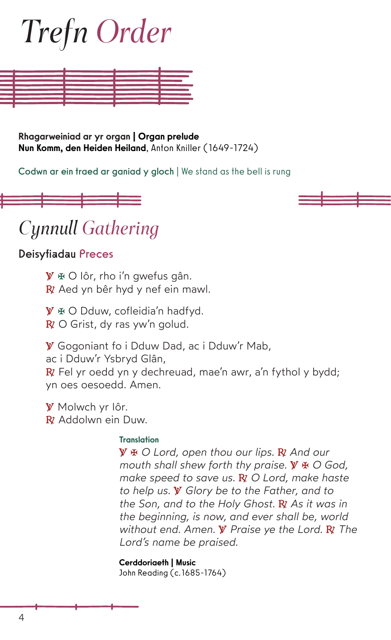# *Trefn Order*



Rhagarweiniad ar yr organ | Organ prelude Nun Komm, den Heiden Heiland, Anton Kniller (1649-1724)

Codwn ar ein traed ar ganiad y gloch | We stand as the bell is rung





# *Cynnull Gathering*

Deisyfiadau Preces

**℣** E O Iôr, rho i'n gwefus gân. **℟** Aed yn bêr hyd y nef ein mawl.

**℣** E O Dduw, cofleidia'n hadfyd. **℟** O Grist, dy ras yw'n golud.

**℣** Gogoniant fo i Dduw Dad, ac i Dduw'r Mab, ac i Dduw'r Ysbryd Glân, **℟** Fel yr oedd yn y dechreuad, mae'n awr, a'n fythol y bydd; yn oes oesoedd. Amen.

**℣** Molwch yr Iôr. **R** Addolwn ein Duw

#### Translation

**℣** E *O Lord, open thou our lips.* **℟** *And our mouth shall shew forth thy praise.* **℣** E *O God, make speed to save us.* **℟** *O Lord, make haste to help us.* **℣** *Glory be to the Father, and to the Son, and to the Holy Ghost.* **℟** *As it was in the beginning, is now, and ever shall be, world without end. Amen.* **℣** *Praise ye the Lord.* **℟** *The Lord's name be praised.*

Cerddoriaeth | Music John Reading (c.1685-1764)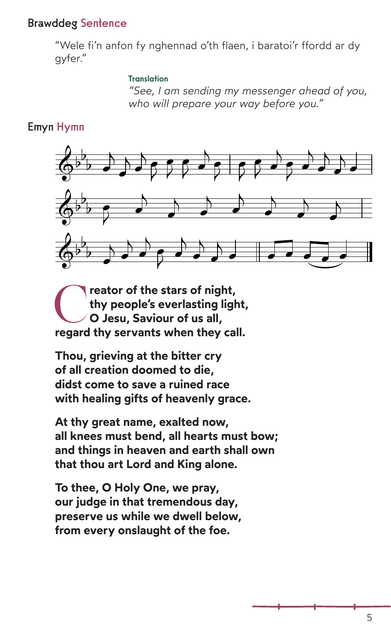# Brawddeg Sentence

"Wele fi'n anfon fy nghennad o'th flaen, i baratoi'r ffordd ar dy gyfer."

#### Translation

*"See, I am sending my messenger ahead of you, who will prepare your way before you."*

## Emyn Hymn



reator of the stars of night, **thy people's everlasting light, O Jesu, Saviour of us all, regard thy servants when they call.**

**Thou, grieving at the bitter cry of all creation doomed to die, didst come to save a ruined race with healing gifts of heavenly grace.**

**At thy great name, exalted now, all knees must bend, all hearts must bow; and things in heaven and earth shall own that thou art Lord and King alone.**

**To thee, O Holy One, we pray, our judge in that tremendous day, preserve us while we dwell below, from every onslaught of the foe.**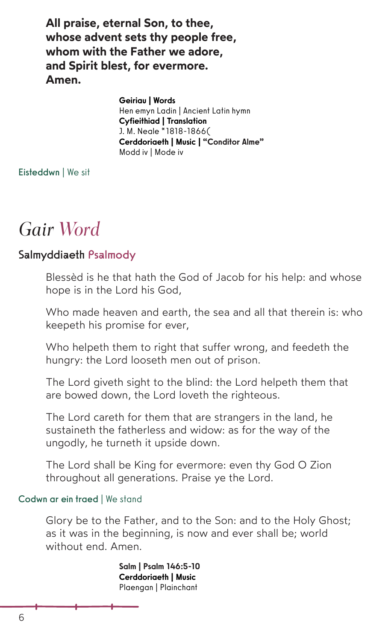**All praise, eternal Son, to thee, whose advent sets thy people free, whom with the Father we adore, and Spirit blest, for evermore. Amen.**

> Geiriau | Words Hen emyn Ladin | Ancient Latin hymn Cyfieithiad | Translation J. M. Neale \*1818-1866( Cerddoriaeth | Music | "Conditor Alme" Modd iv | Mode iv

Eisteddwn | We sit

# *Gair Word*

## Salmyddiaeth Psalmody

Blessèd is he that hath the God of Jacob for his help: and whose hope is in the Lord his God,

Who made heaven and earth, the sea and all that therein is: who keepeth his promise for ever,

Who helpeth them to right that suffer wrong, and feedeth the hungry: the Lord looseth men out of prison.

The Lord giveth sight to the blind: the Lord helpeth them that are bowed down, the Lord loveth the righteous.

The Lord careth for them that are strangers in the land, he sustaineth the fatherless and widow: as for the way of the ungodly, he turneth it upside down.

The Lord shall be King for evermore: even thy God O Zion throughout all generations. Praise ye the Lord.

#### Codwn ar ein traed | We stand

Glory be to the Father, and to the Son: and to the Holy Ghost; as it was in the beginning, is now and ever shall be; world without end. Amen.

> Salm | Psalm 146:5-10 Cerddoriaeth | Music Plaengan | Plainchant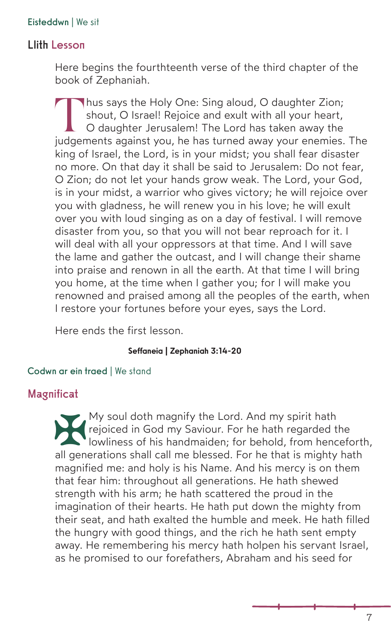#### Eisteddwn | We sit

## Llith Lesson

Here begins the fourthteenth verse of the third chapter of the book of Zephaniah.

Thus says the Holy One: Sing aloud, O daughter Zion: shout, O Israel! Rejoice and exult with all your heart, O daughter Jerusalem! The Lord has taken away the judgements against you, he has turned away your enemies. The king of Israel, the Lord, is in your midst; you shall fear disaster no more. On that day it shall be said to Jerusalem: Do not fear, O Zion; do not let your hands grow weak. The Lord, your God, is in your midst, a warrior who gives victory; he will rejoice over you with gladness, he will renew you in his love; he will exult over you with loud singing as on a day of festival. I will remove disaster from you, so that you will not bear reproach for it. I will deal with all your oppressors at that time. And I will save the lame and gather the outcast, and I will change their shame into praise and renown in all the earth. At that time I will bring you home, at the time when I gather you; for I will make you renowned and praised among all the peoples of the earth, when I restore your fortunes before your eyes, says the Lord.

Here ends the first lesson.

#### Seffaneia | Zephaniah 3:14-20

#### Codwn ar ein traed | We stand

#### Magnificat

My soul doth magnify the Lord. And my spirit hath<br>rejoiced in God my Saviour. For he hath regarded the<br>lowliness of his handmaiden; for behold, from hence<br>all generations shall call me blessed. For he that is mighty rejoiced in God my Saviour. For he hath regarded the lowliness of his handmaiden; for behold, from henceforth, all generations shall call me blessed. For he that is mighty hath magnified me: and holy is his Name. And his mercy is on them that fear him: throughout all generations. He hath shewed strength with his arm; he hath scattered the proud in the imagination of their hearts. He hath put down the mighty from their seat, and hath exalted the humble and meek. He hath filled the hungry with good things, and the rich he hath sent empty away. He remembering his mercy hath holpen his servant Israel, as he promised to our forefathers, Abraham and his seed for

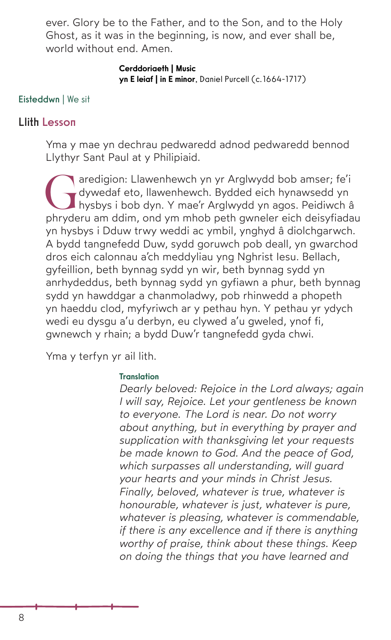ever. Glory be to the Father, and to the Son, and to the Holy Ghost, as it was in the beginning, is now, and ever shall be, world without end. Amen.

#### Cerddoriaeth | Music yn E leiaf | in E minor, Daniel Purcell (c.1664-1717)

#### Eisteddwn | We sit

#### Llith Lesson

Yma y mae yn dechrau pedwaredd adnod pedwaredd bennod Llythyr Sant Paul at y Philipiaid.

Garedigion: Llawenhewch yn yr Arglwydd bob amser; fe'i<br>dywedaf eto, llawenhewch. Bydded eich hynawsedd yn<br>hysbys i bob dyn. Y mae'r Arglwydd yn agos. Peidiwch â<br>phyderu am ddim, ond ym mbob peth gwneler eich deisyfiada dywedaf eto, llawenhewch. Bydded eich hynawsedd yn hysbys i bob dyn. Y mae'r Arglwydd yn agos. Peidiwch â phryderu am ddim, ond ym mhob peth gwneler eich deisyfiadau yn hysbys i Dduw trwy weddi ac ymbil, ynghyd â diolchgarwch. A bydd tangnefedd Duw, sydd goruwch pob deall, yn gwarchod dros eich calonnau a'ch meddyliau yng Nghrist Iesu. Bellach, gyfeillion, beth bynnag sydd yn wir, beth bynnag sydd yn anrhydeddus, beth bynnag sydd yn gyfiawn a phur, beth bynnag sydd yn hawddgar a chanmoladwy, pob rhinwedd a phopeth yn haeddu clod, myfyriwch ar y pethau hyn. Y pethau yr ydych wedi eu dysgu a'u derbyn, eu clywed a'u gweled, ynof fi, gwnewch y rhain; a bydd Duw'r tangnefedd gyda chwi.

Yma y terfyn yr ail lith.

#### **Translation**

*Dearly beloved: Rejoice in the Lord always; again I will say, Rejoice. Let your gentleness be known to everyone. The Lord is near. Do not worry about anything, but in everything by prayer and supplication with thanksgiving let your requests be made known to God. And the peace of God, which surpasses all understanding, will guard your hearts and your minds in Christ Jesus. Finally, beloved, whatever is true, whatever is honourable, whatever is just, whatever is pure, whatever is pleasing, whatever is commendable, if there is any excellence and if there is anything worthy of praise, think about these things. Keep on doing the things that you have learned and*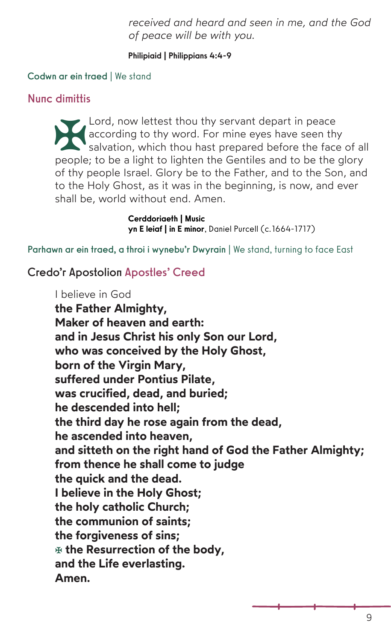*received and heard and seen in me, and the God of peace will be with you.*

#### Philipiaid | Philippians 4:4-9

#### Codwn ar ein traed | We stand

### Nunc dimittis

Lord, now lettest thou thy servant depart in peace<br>according to thy word. For mine eyes have seen thy<br>salvation, which thou hast prepared before the face<br>people; to be a light to lighten the Gentiles and to be the according to thy word. For mine eyes have seen thy salvation, which thou hast prepared before the face of all people; to be a light to lighten the Gentiles and to be the glory of thy people Israel. Glory be to the Father, and to the Son, and to the Holy Ghost, as it was in the beginning, is now, and ever shall be, world without end. Amen.

> Cerddoriaeth | Music yn E leiaf | in E minor, Daniel Purcell (c.1664-1717)

Parhawn ar ein traed, a throi i wynebu'r Dwyrain | We stand, turning to face East

## Credo'r Apostolion Apostles' Creed

I believe in God

**the Father Almighty, Maker of heaven and earth: and in Jesus Christ his only Son our Lord, who was conceived by the Holy Ghost, born of the Virgin Mary, suffered under Pontius Pilate, was crucified, dead, and buried; he descended into hell; the third day he rose again from the dead, he ascended into heaven, and sitteth on the right hand of God the Father Almighty; from thence he shall come to judge the quick and the dead. I believe in the Holy Ghost; the holy catholic Church; the communion of saints; the forgiveness of sins;**  E **the Resurrection of the body, and the Life everlasting. Amen.**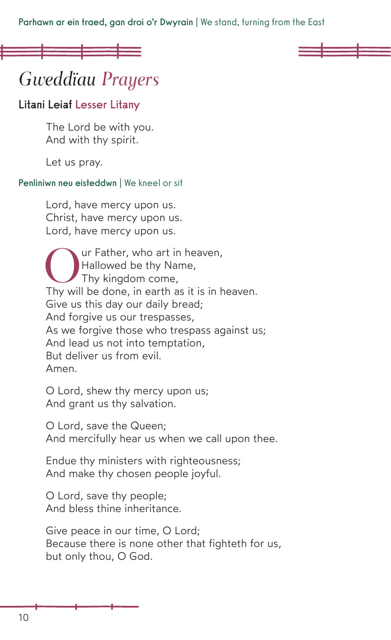Parhawn ar ein traed, gan droi o'r Dwyrain | We stand, turning from the East

# *Gweddïau Prayers*

## Litani Leiaf Lesser Litany

The Lord be with you. And with thy spirit.

Let us pray.

#### Penliniwn neu eisteddwn | We kneel or sit

Lord, have mercy upon us. Christ, have mercy upon us. Lord, have mercy upon us.

Our Father, who art in heaven,<br>
Hallowed be thy Name,<br>
Thy kingdom come,<br>
Thy will be done, in earth as it is in heaven. Hallowed be thy Name, Thy kingdom come, Give us this day our daily bread; And forgive us our trespasses, As we forgive those who trespass against us; And lead us not into temptation, But deliver us from evil. Amen.

O Lord, shew thy mercy upon us; And grant us thy salvation.

O Lord, save the Queen; And mercifully hear us when we call upon thee.

Endue thy ministers with righteousness; And make thy chosen people joyful.

O Lord, save thy people; And bless thine inheritance.

Give peace in our time, O Lord; Because there is none other that fighteth for us, but only thou, O God.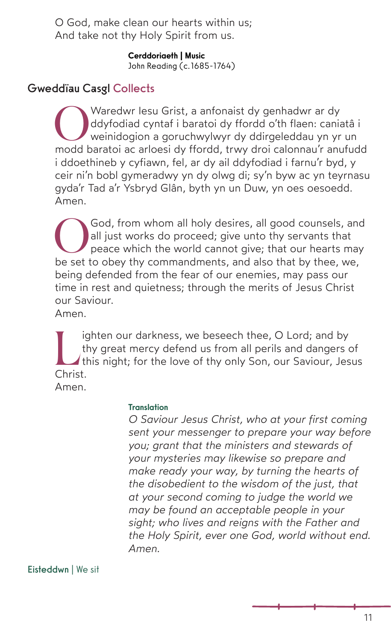O God, make clean our hearts within us; And take not thy Holy Spirit from us.

> Cerddoriaeth | Music John Reading (c.1685-1764)

# Gweddïau Casgl Collects

Waredwr Iesu Grist, a anfonaist dy genhadwr ar dy<br>ddyfodiad cyntaf i baratoi dy ffordd o'th flaen: cania<br>weinidogion a goruchwylwyr dy ddirgeleddau yn yr<br>modd baratoi ac arloesi dy ffordd, trwy droi calonnau'r anu ddyfodiad cyntaf i baratoi dy ffordd o'th flaen: caniatâ i weinidogion a goruchwylwyr dy ddirgeleddau yn yr un modd baratoi ac arloesi dy ffordd, trwy droi calonnau'r anufudd i ddoethineb y cyfiawn, fel, ar dy ail ddyfodiad i farnu'r byd, y ceir ni'n bobl gymeradwy yn dy olwg di; sy'n byw ac yn teyrnasu gyda'r Tad a'r Ysbryd Glân, byth yn un Duw, yn oes oesoedd. Amen.

God, from whom all holy desires, all good counsels, and all just works do proceed; give unto thy servants that peace which the world cannot give; that our hearts may be set to obey thy commandments, and also that by thee, we, being defended from the fear of our enemies, may pass our time in rest and quietness: through the merits of Jesus Christ our Saviour.

Amen.

I ighten our darkness, we beseech thee, O Lord; and by thy great mercy defend us from all perils and dangers of this night; for the love of thy only Son, our Saviour, Jesus Christ thy great mercy defend us from all perils and dangers of Christ. Amen.

#### Translation

*O Saviour Jesus Christ, who at your first coming sent your messenger to prepare your way before you; grant that the ministers and stewards of your mysteries may likewise so prepare and make ready your way, by turning the hearts of the disobedient to the wisdom of the just, that at your second coming to judge the world we may be found an acceptable people in your sight; who lives and reigns with the Father and the Holy Spirit, ever one God, world without end. Amen.*

Eisteddwn | We sit

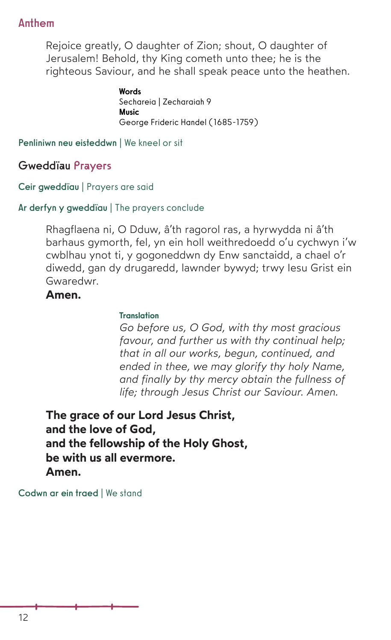## Anthem

Rejoice greatly, O daughter of Zion; shout, O daughter of Jerusalem! Behold, thy King cometh unto thee; he is the righteous Saviour, and he shall speak peace unto the heathen.

> **Words** Sechareia | Zecharaiah 9 Music George Frideric Handel (1685-1759)

Penliniwn neu eisteddwn | We kneel or sit

Gweddïau Prayers

Ceir gweddïau | Prayers are said

Ar derfyn y gweddïau | The prayers conclude

Rhagflaena ni, O Dduw, â'th ragorol ras, a hyrwydda ni â'th barhaus gymorth, fel, yn ein holl weithredoedd o'u cychwyn i'w cwblhau ynot ti, y gogoneddwn dy Enw sanctaidd, a chael o'r diwedd, gan dy drugaredd, lawnder bywyd; trwy Iesu Grist ein Gwaredwr.

## **Amen.**

#### **Translation**

*Go before us, O God, with thy most gracious favour, and further us with thy continual help; that in all our works, begun, continued, and ended in thee, we may glorify thy holy Name, and finally by thy mercy obtain the fullness of life; through Jesus Christ our Saviour. Amen.* 

**The grace of our Lord Jesus Christ, and the love of God, and the fellowship of the Holy Ghost, be with us all evermore. Amen.** 

Codwn ar ein traed | We stand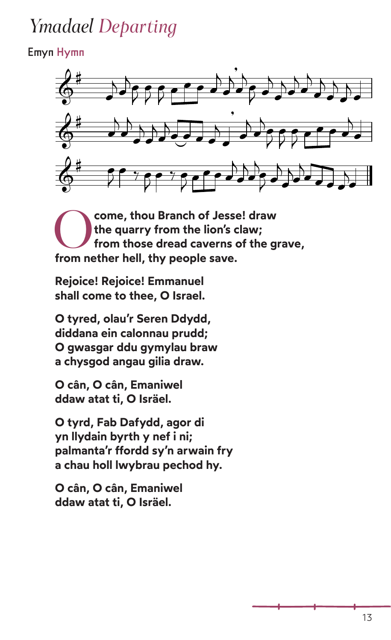# *Ymadael Departing*

# Emyn Hymn



O**come, thou Branch of Jesse! draw the quarry from the lion's claw; from those dread caverns of the grave, from nether hell, thy people save.**

**Rejoice! Rejoice! Emmanuel shall come to thee, O Israel.**

**O tyred, olau'r Seren Ddydd, diddana ein calonnau prudd; O gwasgar ddu gymylau braw a chysgod angau gilia draw.**

**O cân, O cân, Emaniwel ddaw atat ti, O Isräel.**

**O tyrd, Fab Dafydd, agor di yn llydain byrth y nef i ni; palmanta'r ffordd sy'n arwain fry a chau holl lwybrau pechod hy.**

**O cân, O cân, Emaniwel ddaw atat ti, O Isräel.**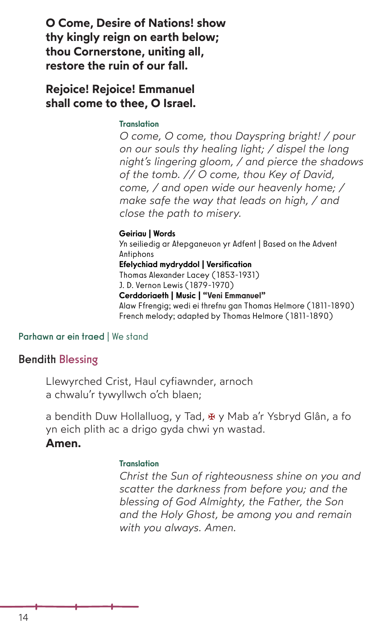**O Come, Desire of Nations! show thy kingly reign on earth below; thou Cornerstone, uniting all, restore the ruin of our fall.**

**Rejoice! Rejoice! Emmanuel shall come to thee, O Israel.**

#### Translation

*O come, O come, thou Dayspring bright! / pour on our souls thy healing light; / dispel the long night's lingering gloom, / and pierce the shadows of the tomb. // O come, thou Key of David, come, / and open wide our heavenly home; / make safe the way that leads on high, / and close the path to misery.*

#### Geiriau | Words

Yn seiliedig ar Atepganeuon yr Adfent | Based on the Advent Antiphons Efelychiad mydryddol | Versification Thomas Alexander Lacey (1853-1931) J. D. Vernon Lewis (1879-1970) Cerddoriaeth | Music | "Veni Emmanuel" Alaw Ffrengig; wedi ei threfnu gan Thomas Helmore (1811-1890) French melody; adapted by Thomas Helmore (1811-1890)

#### Parhawn ar ein traed | We stand

#### Bendith Blessing

Llewyrched Crist, Haul cyfiawnder, arnoch a chwalu'r tywyllwch o'ch blaen;

a bendith Duw Hollalluog, y Tad,  $\overline{x}$  y Mab a'r Ysbryd Glân, a fo yn eich plith ac a drigo gyda chwi yn wastad.

#### **Amen.**

#### **Translation**

*Christ the Sun of righteousness shine on you and scatter the darkness from before you; and the blessing of God Almighty, the Father, the Son and the Holy Ghost, be among you and remain with you always. Amen.*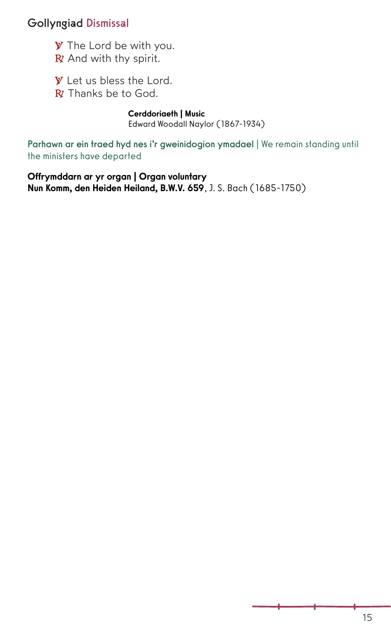## Gollyngiad Dismissal

**℣** The Lord be with you. **℟** And with thy spirit.

**W** Let us bless the Lord.

**℟** Thanks be to God.

Cerddoriaeth | Music

Edward Woodall Naylor (1867-1934)

Parhawn ar ein traed hyd nes i'r gweinidogion ymadael | We remain standing until the ministers have departed

Offrymddarn ar yr organ | Organ voluntary Nun Komm, den Heiden Heiland, B.W.V. 659, J. S. Bach (1685-1750)